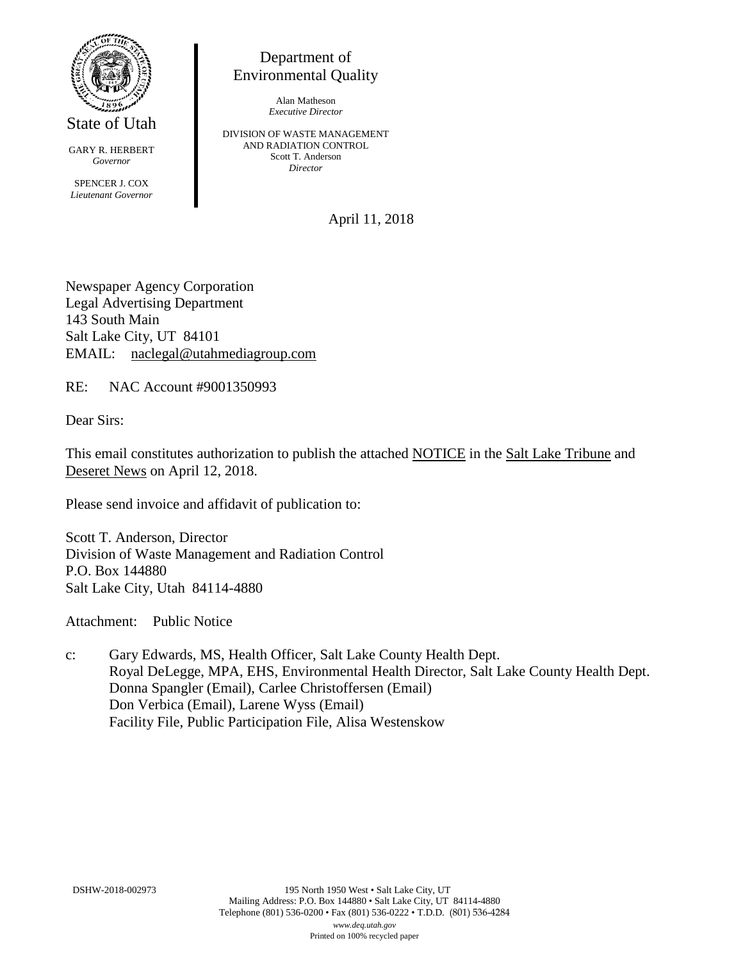

State of Utah

GARY R. HERBERT *Governor* SPENCER J. COX *Lieutenant Governor*

Department of Environmental Quality

> Alan Matheson *Executive Director*

DIVISION OF WASTE MANAGEMENT AND RADIATION CONTROL Scott T. Anderson *Director*

April 11, 2018

Newspaper Agency Corporation Legal Advertising Department 143 South Main Salt Lake City, UT 84101 EMAIL: naclegal@utahmediagroup.com

RE: NAC Account #9001350993

Dear Sirs:

This email constitutes authorization to publish the attached NOTICE in the Salt Lake Tribune and Deseret News on April 12, 2018.

Please send invoice and affidavit of publication to:

Scott T. Anderson, Director Division of Waste Management and Radiation Control P.O. Box 144880 Salt Lake City, Utah 84114-4880

Attachment: Public Notice

c: Gary Edwards, MS, Health Officer, Salt Lake County Health Dept. Royal DeLegge, MPA, EHS, Environmental Health Director, Salt Lake County Health Dept. Donna Spangler (Email), Carlee Christoffersen (Email) Don Verbica (Email), Larene Wyss (Email) Facility File, Public Participation File, Alisa Westenskow